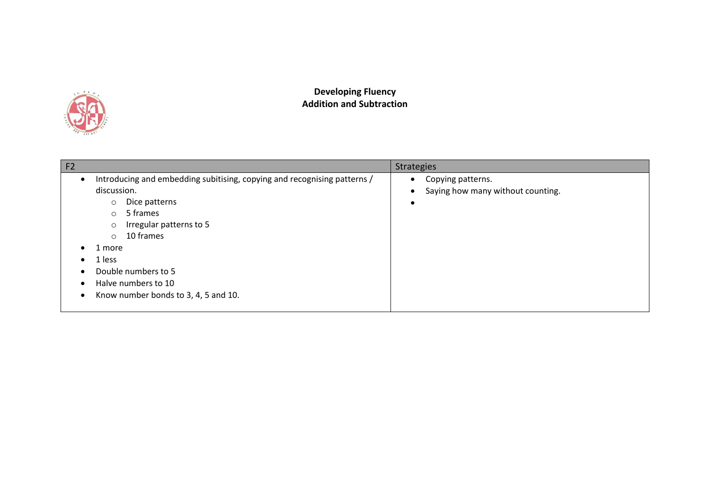

## **Developing Fluency Addition and Subtraction**

| F <sub>2</sub>                        |                                                                                                                                                                                                                                                                                                                    | <b>Strategies</b>                                                                             |
|---------------------------------------|--------------------------------------------------------------------------------------------------------------------------------------------------------------------------------------------------------------------------------------------------------------------------------------------------------------------|-----------------------------------------------------------------------------------------------|
| $\bullet$<br>$\epsilon$<br>$\epsilon$ | Introducing and embedding subitising, copying and recognising patterns /<br>discussion.<br>Dice patterns<br>$\circ$<br>5 frames<br>$\circ$<br>Irregular patterns to 5<br>$\circ$<br>10 frames<br>$\circ$<br>1 more<br>1 less<br>Double numbers to 5<br>Halve numbers to 10<br>Know number bonds to 3, 4, 5 and 10. | Copying patterns.<br>$\bullet$<br>Saying how many without counting.<br>$\bullet$<br>$\bullet$ |
|                                       |                                                                                                                                                                                                                                                                                                                    |                                                                                               |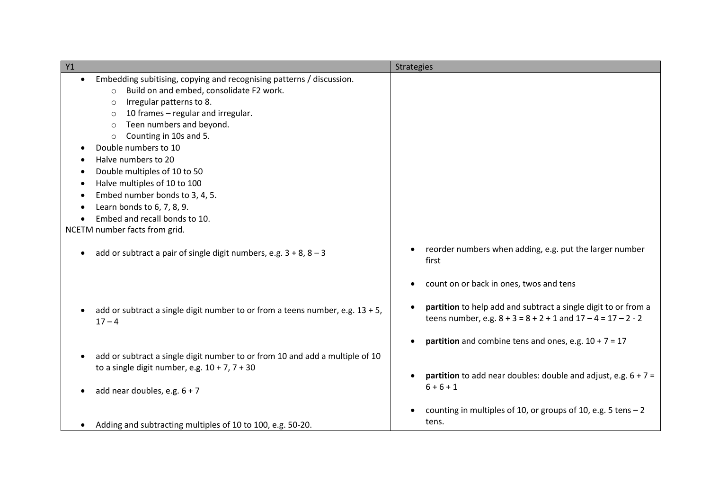| Y1                                                                               | <b>Strategies</b>                                                |
|----------------------------------------------------------------------------------|------------------------------------------------------------------|
| Embedding subitising, copying and recognising patterns / discussion.             |                                                                  |
| Build on and embed, consolidate F2 work.<br>$\circ$                              |                                                                  |
| Irregular patterns to 8.<br>$\circ$                                              |                                                                  |
| 10 frames - regular and irregular.<br>$\circ$                                    |                                                                  |
| Teen numbers and beyond.<br>$\circ$                                              |                                                                  |
| Counting in 10s and 5.<br>$\circ$                                                |                                                                  |
| Double numbers to 10                                                             |                                                                  |
| Halve numbers to 20                                                              |                                                                  |
| Double multiples of 10 to 50                                                     |                                                                  |
| Halve multiples of 10 to 100                                                     |                                                                  |
| Embed number bonds to 3, 4, 5.                                                   |                                                                  |
| Learn bonds to 6, 7, 8, 9.                                                       |                                                                  |
| Embed and recall bonds to 10.                                                    |                                                                  |
| NCETM number facts from grid.                                                    |                                                                  |
|                                                                                  |                                                                  |
| add or subtract a pair of single digit numbers, e.g. $3 + 8$ , $8 - 3$           | reorder numbers when adding, e.g. put the larger number<br>first |
|                                                                                  | count on or back in ones, twos and tens                          |
|                                                                                  |                                                                  |
| add or subtract a single digit number to or from a teens number, e.g. $13 + 5$ , | partition to help add and subtract a single digit to or from a   |
| $17 - 4$                                                                         | teens number, e.g. $8 + 3 = 8 + 2 + 1$ and $17 - 4 = 17 - 2 - 2$ |
|                                                                                  |                                                                  |
|                                                                                  | partition and combine tens and ones, e.g. $10 + 7 = 17$          |
| add or subtract a single digit number to or from 10 and add a multiple of 10     |                                                                  |
| to a single digit number, e.g. $10 + 7$ , $7 + 30$                               |                                                                  |
|                                                                                  | partition to add near doubles: double and adjust, e.g. $6 + 7 =$ |
| add near doubles, e.g. $6 + 7$                                                   | $6 + 6 + 1$                                                      |
|                                                                                  |                                                                  |
|                                                                                  | counting in multiples of 10, or groups of 10, e.g. 5 tens $-2$   |
| Adding and subtracting multiples of 10 to 100, e.g. 50-20.                       | tens.                                                            |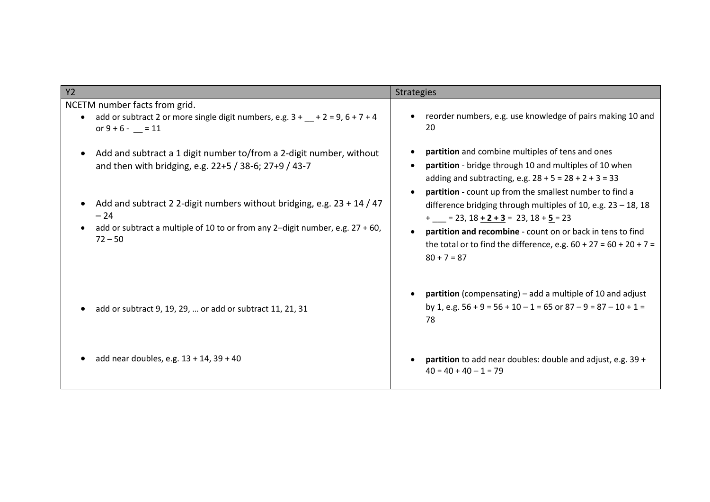| Y2                                                                                                                                 | <b>Strategies</b>                                                                                                                                                                                                                |  |
|------------------------------------------------------------------------------------------------------------------------------------|----------------------------------------------------------------------------------------------------------------------------------------------------------------------------------------------------------------------------------|--|
| NCETM number facts from grid.<br>add or subtract 2 or more single digit numbers, e.g. $3 + (-2) = 9, 6 + 7 + 4$<br>or $9 + 6 - 11$ | reorder numbers, e.g. use knowledge of pairs making 10 and<br>20                                                                                                                                                                 |  |
| Add and subtract a 1 digit number to/from a 2-digit number, without<br>and then with bridging, e.g. 22+5 / 38-6; 27+9 / 43-7       | partition and combine multiples of tens and ones<br>partition - bridge through 10 and multiples of 10 when<br>adding and subtracting, e.g. $28 + 5 = 28 + 2 + 3 = 33$<br>partition - count up from the smallest number to find a |  |
| Add and subtract 2 2-digit numbers without bridging, e.g. 23 + 14 / 47<br>$-24$                                                    | difference bridging through multiples of 10, e.g. 23 - 18, 18<br>$+$ = 23, 18 + 2 + 3 = 23, 18 + 5 = 23                                                                                                                          |  |
| add or subtract a multiple of 10 to or from any 2-digit number, e.g. $27 + 60$ ,<br>$72 - 50$                                      | partition and recombine - count on or back in tens to find<br>the total or to find the difference, e.g. $60 + 27 = 60 + 20 + 7 =$<br>$80 + 7 = 87$                                                                               |  |
| add or subtract 9, 19, 29,  or add or subtract 11, 21, 31                                                                          | <b>partition</b> (compensating) – add a multiple of 10 and adjust<br>by 1, e.g. $56 + 9 = 56 + 10 - 1 = 65$ or $87 - 9 = 87 - 10 + 1 =$<br>78                                                                                    |  |
| add near doubles, e.g. 13 + 14, 39 + 40                                                                                            | partition to add near doubles: double and adjust, e.g. 39 +<br>$40 = 40 + 40 - 1 = 79$                                                                                                                                           |  |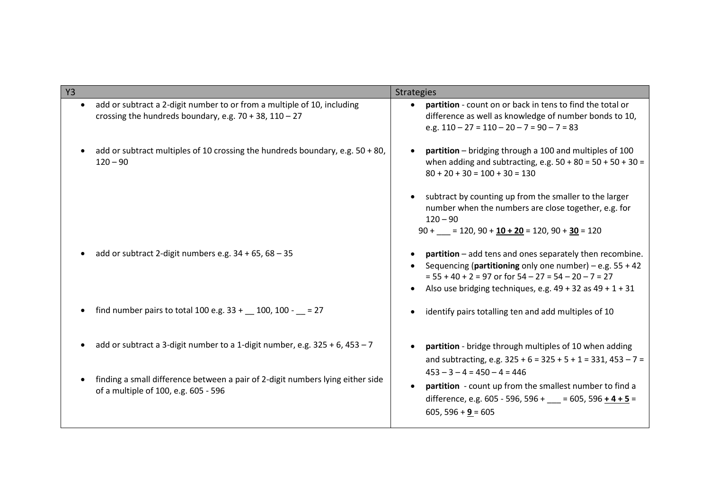| Y <sub>3</sub> |                                                                                                                                        | <b>Strategies</b>                                                                                                                                                                                                                                   |
|----------------|----------------------------------------------------------------------------------------------------------------------------------------|-----------------------------------------------------------------------------------------------------------------------------------------------------------------------------------------------------------------------------------------------------|
| $\bullet$      | add or subtract a 2-digit number to or from a multiple of 10, including<br>crossing the hundreds boundary, e.g. $70 + 38$ , $110 - 27$ | partition - count on or back in tens to find the total or<br>difference as well as knowledge of number bonds to 10,<br>e.g. $110 - 27 = 110 - 20 - 7 = 90 - 7 = 83$                                                                                 |
|                | add or subtract multiples of 10 crossing the hundreds boundary, e.g. $50 + 80$ ,<br>$120 - 90$                                         | partition - bridging through a 100 and multiples of 100<br>$\bullet$<br>when adding and subtracting, e.g. $50 + 80 = 50 + 50 + 30 =$<br>$80 + 20 + 30 = 100 + 30 = 130$                                                                             |
|                |                                                                                                                                        | subtract by counting up from the smaller to the larger<br>$\bullet$<br>number when the numbers are close together, e.g. for<br>$120 - 90$<br>$90 +$ = 120, 90 + 10 + 20 = 120, 90 + 30 = 120                                                        |
|                | add or subtract 2-digit numbers e.g. $34 + 65$ , $68 - 35$                                                                             | partition - add tens and ones separately then recombine.<br>Sequencing (partitioning only one number) – e.g. $55 + 42$<br>$= 55 + 40 + 2 = 97$ or for $54 - 27 = 54 - 20 - 7 = 27$<br>Also use bridging techniques, e.g. $49 + 32$ as $49 + 1 + 31$ |
|                | find number pairs to total 100 e.g. $33 + 100$ , $100 - 27$                                                                            | identify pairs totalling ten and add multiples of 10                                                                                                                                                                                                |
|                | add or subtract a 3-digit number to a 1-digit number, e.g. $325 + 6$ , $453 - 7$                                                       | partition - bridge through multiples of 10 when adding<br>and subtracting, e.g. $325 + 6 = 325 + 5 + 1 = 331$ , $453 - 7 =$                                                                                                                         |
|                | finding a small difference between a pair of 2-digit numbers lying either side<br>of a multiple of 100, e.g. 605 - 596                 | $453 - 3 - 4 = 450 - 4 = 446$<br>partition - count up from the smallest number to find a<br>$\bullet$<br>difference, e.g. 605 - 596, 596 + = 605, 596 + 4 + 5 =<br>$605, 596 + 9 = 605$                                                             |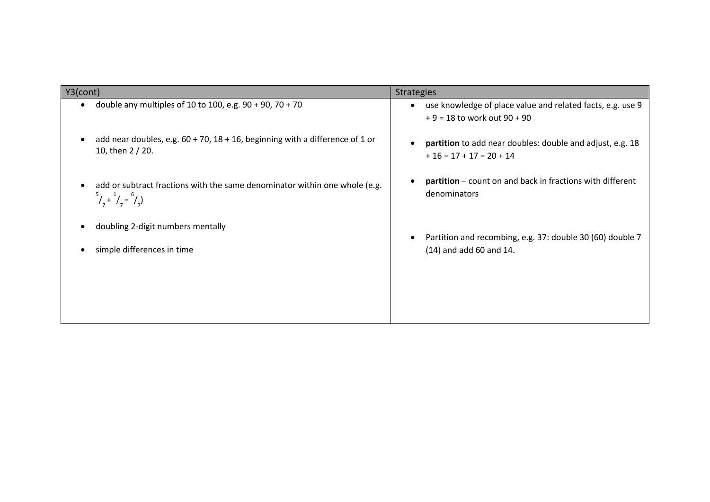| Y3(cont)                                                                                                                   | <b>Strategies</b>                                                                                          |  |
|----------------------------------------------------------------------------------------------------------------------------|------------------------------------------------------------------------------------------------------------|--|
| double any multiples of 10 to 100, e.g. $90 + 90$ , 70 + 70                                                                | use knowledge of place value and related facts, e.g. use 9<br>$\bullet$<br>$+9 = 18$ to work out $90 + 90$ |  |
| add near doubles, e.g. $60 + 70$ , $18 + 16$ , beginning with a difference of 1 or<br>10, then 2 / 20.                     | partition to add near doubles: double and adjust, e.g. 18<br>$+16 = 17 + 17 = 20 + 14$                     |  |
| add or subtract fractions with the same denominator within one whole (e.g.<br>$\binom{5}{7} + \binom{1}{7} = \binom{6}{7}$ | <b>partition</b> – count on and back in fractions with different<br>denominators                           |  |
| doubling 2-digit numbers mentally                                                                                          | Partition and recombing, e.g. 37: double 30 (60) double 7                                                  |  |
| simple differences in time                                                                                                 | $(14)$ and add 60 and 14.                                                                                  |  |
|                                                                                                                            |                                                                                                            |  |
|                                                                                                                            |                                                                                                            |  |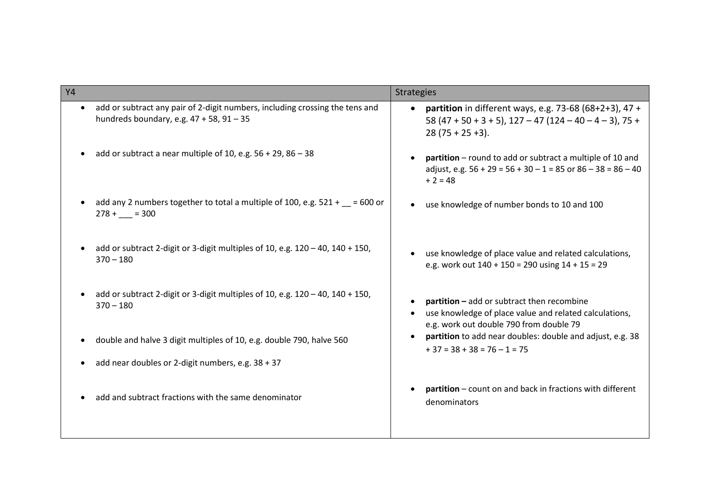| <b>Y4</b>                                                                                                                                  | <b>Strategies</b>                                                                                                                               |  |
|--------------------------------------------------------------------------------------------------------------------------------------------|-------------------------------------------------------------------------------------------------------------------------------------------------|--|
| add or subtract any pair of 2-digit numbers, including crossing the tens and<br>$\bullet$<br>hundreds boundary, e.g. $47 + 58$ , $91 - 35$ | <b>partition</b> in different ways, e.g. 73-68 (68+2+3), 47 +<br>58 (47 + 50 + 3 + 5), 127 - 47 (124 - 40 - 4 - 3), 75 +<br>$28(75 + 25 + 3)$ . |  |
| add or subtract a near multiple of 10, e.g. $56 + 29$ , $86 - 38$                                                                          | partition - round to add or subtract a multiple of 10 and<br>adjust, e.g. $56 + 29 = 56 + 30 - 1 = 85$ or $86 - 38 = 86 - 40$<br>$+2=48$        |  |
| add any 2 numbers together to total a multiple of 100, e.g. $521 + 200$ or<br>$278 + 300$                                                  | use knowledge of number bonds to 10 and 100                                                                                                     |  |
| add or subtract 2-digit or 3-digit multiples of 10, e.g. $120 - 40$ , $140 + 150$ ,<br>$370 - 180$                                         | use knowledge of place value and related calculations,<br>e.g. work out $140 + 150 = 290$ using $14 + 15 = 29$                                  |  |
| add or subtract 2-digit or 3-digit multiples of 10, e.g. $120 - 40$ , $140 + 150$ ,<br>$370 - 180$                                         | partition - add or subtract then recombine<br>use knowledge of place value and related calculations,<br>e.g. work out double 790 from double 79 |  |
| double and halve 3 digit multiples of 10, e.g. double 790, halve 560                                                                       | partition to add near doubles: double and adjust, e.g. 38<br>$\bullet$<br>$+37 = 38 + 38 = 76 - 1 = 75$                                         |  |
| add near doubles or 2-digit numbers, e.g. 38 + 37                                                                                          |                                                                                                                                                 |  |
| add and subtract fractions with the same denominator                                                                                       | partition – count on and back in fractions with different<br>denominators                                                                       |  |
|                                                                                                                                            |                                                                                                                                                 |  |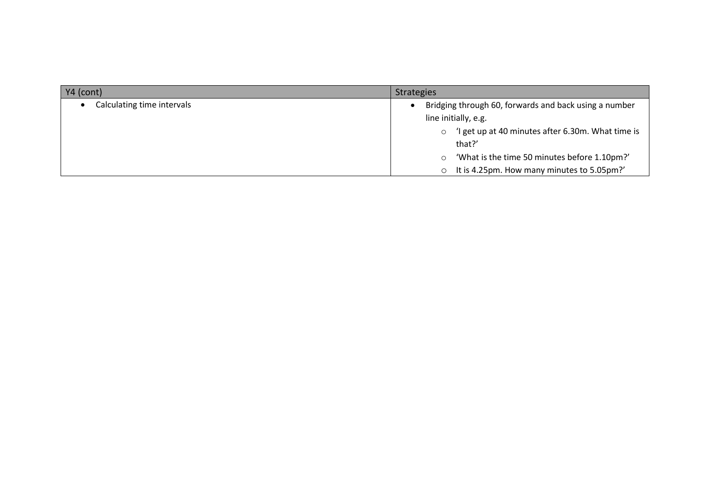| YA (cont)                  | <b>Strategies</b>                                           |  |
|----------------------------|-------------------------------------------------------------|--|
| Calculating time intervals | Bridging through 60, forwards and back using a number       |  |
|                            | line initially, e.g.                                        |  |
|                            | I get up at 40 minutes after 6.30m. What time is<br>$\circ$ |  |
|                            | that?'                                                      |  |
|                            | 'What is the time 50 minutes before 1.10pm?'<br>O           |  |
|                            | It is 4.25pm. How many minutes to 5.05pm?'<br>O             |  |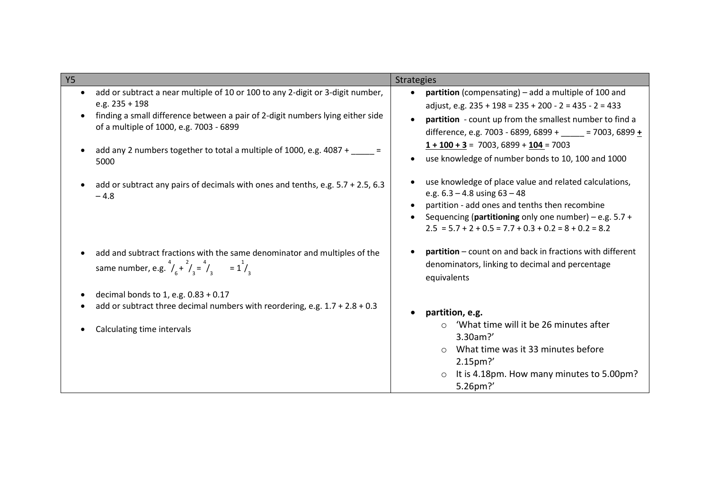| <b>Y5</b>                                                                                                                                                                                                                                                                                                                         | Strategies                                                                                                                                                                                                                                                                                                                                            |
|-----------------------------------------------------------------------------------------------------------------------------------------------------------------------------------------------------------------------------------------------------------------------------------------------------------------------------------|-------------------------------------------------------------------------------------------------------------------------------------------------------------------------------------------------------------------------------------------------------------------------------------------------------------------------------------------------------|
| add or subtract a near multiple of 10 or 100 to any 2-digit or 3-digit number,<br>$\bullet$<br>e.g. $235 + 198$<br>finding a small difference between a pair of 2-digit numbers lying either side<br>of a multiple of 1000, e.g. 7003 - 6899<br>add any 2 numbers together to total a multiple of 1000, e.g. 4087 + _____<br>5000 | partition (compensating) – add a multiple of 100 and<br>adjust, e.g. $235 + 198 = 235 + 200 - 2 = 435 - 2 = 433$<br>partition - count up from the smallest number to find a<br>difference, e.g. 7003 - 6899, 6899 + _____ = 7003, 6899 +<br>$1 + 100 + 3 = 7003, 6899 + 104 = 7003$<br>use knowledge of number bonds to 10, 100 and 1000<br>$\bullet$ |
| add or subtract any pairs of decimals with ones and tenths, e.g. 5.7 + 2.5, 6.3<br>$-4.8$                                                                                                                                                                                                                                         | use knowledge of place value and related calculations,<br>e.g. $6.3 - 4.8$ using $63 - 48$<br>partition - add ones and tenths then recombine<br>Sequencing (partitioning only one number) – e.g. $5.7 +$<br>$2.5 = 5.7 + 2 + 0.5 = 7.7 + 0.3 + 0.2 = 8 + 0.2 = 8.2$                                                                                   |
| add and subtract fractions with the same denominator and multiples of the<br>same number, e.g. $^{4}/_{6} + ^{2}/_{3} = ^{4}/_{3} = 1^{1}/_{3}$                                                                                                                                                                                   | <b>partition</b> – count on and back in fractions with different<br>denominators, linking to decimal and percentage<br>equivalents                                                                                                                                                                                                                    |
| decimal bonds to 1, e.g. 0.83 + 0.17<br>add or subtract three decimal numbers with reordering, e.g. $1.7 + 2.8 + 0.3$<br>Calculating time intervals                                                                                                                                                                               | partition, e.g.<br>'What time will it be 26 minutes after<br>3.30am?'<br>What time was it 33 minutes before<br>$\bigcirc$<br>2.15pm?'<br>It is 4.18pm. How many minutes to 5.00pm?<br>5.26pm?'                                                                                                                                                        |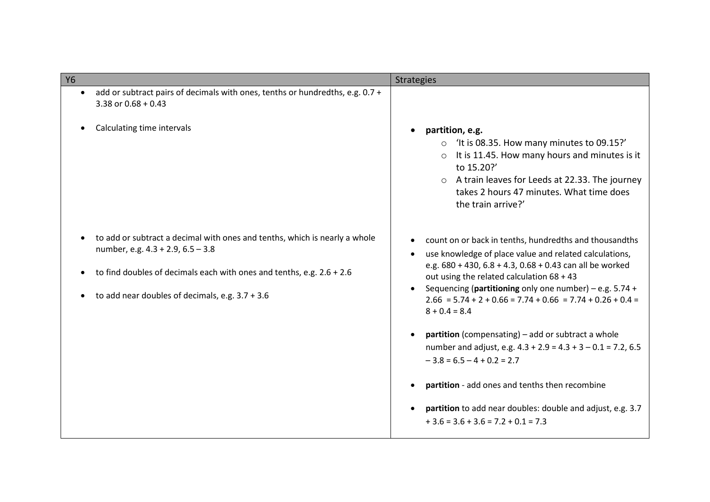|                                                                                                                                                                                                                                                 | <b>Strategies</b>                                                                                                                                                                                                                                                                                                                                                                                                                                                                                                                                                                                                                                                                                |
|-------------------------------------------------------------------------------------------------------------------------------------------------------------------------------------------------------------------------------------------------|--------------------------------------------------------------------------------------------------------------------------------------------------------------------------------------------------------------------------------------------------------------------------------------------------------------------------------------------------------------------------------------------------------------------------------------------------------------------------------------------------------------------------------------------------------------------------------------------------------------------------------------------------------------------------------------------------|
| <b>Y6</b><br>add or subtract pairs of decimals with ones, tenths or hundredths, e.g. 0.7 +<br>$\bullet$<br>3.38 or $0.68 + 0.43$<br>Calculating time intervals                                                                                  | partition, e.g.<br>$\circ$ 'It is 08.35. How many minutes to 09.15?'<br>It is 11.45. How many hours and minutes is it<br>to 15.20?'<br>o A train leaves for Leeds at 22.33. The journey<br>takes 2 hours 47 minutes. What time does<br>the train arrive?'                                                                                                                                                                                                                                                                                                                                                                                                                                        |
| to add or subtract a decimal with ones and tenths, which is nearly a whole<br>number, e.g. 4.3 + 2.9, 6.5 - 3.8<br>to find doubles of decimals each with ones and tenths, e.g. $2.6 + 2.6$<br>to add near doubles of decimals, e.g. $3.7 + 3.6$ | count on or back in tenths, hundredths and thousandths<br>use knowledge of place value and related calculations,<br>e.g. 680 + 430, 6.8 + 4.3, 0.68 + 0.43 can all be worked<br>out using the related calculation 68 + 43<br>Sequencing (partitioning only one number) – e.g. $5.74 +$<br>$2.66 = 5.74 + 2 + 0.66 = 7.74 + 0.66 = 7.74 + 0.26 + 0.4 =$<br>$8 + 0.4 = 8.4$<br><b>partition</b> (compensating) – add or subtract a whole<br>number and adjust, e.g. $4.3 + 2.9 = 4.3 + 3 - 0.1 = 7.2, 6.5$<br>$-3.8 = 6.5 - 4 + 0.2 = 2.7$<br>partition - add ones and tenths then recombine<br>partition to add near doubles: double and adjust, e.g. 3.7<br>$+3.6 = 3.6 + 3.6 = 7.2 + 0.1 = 7.3$ |